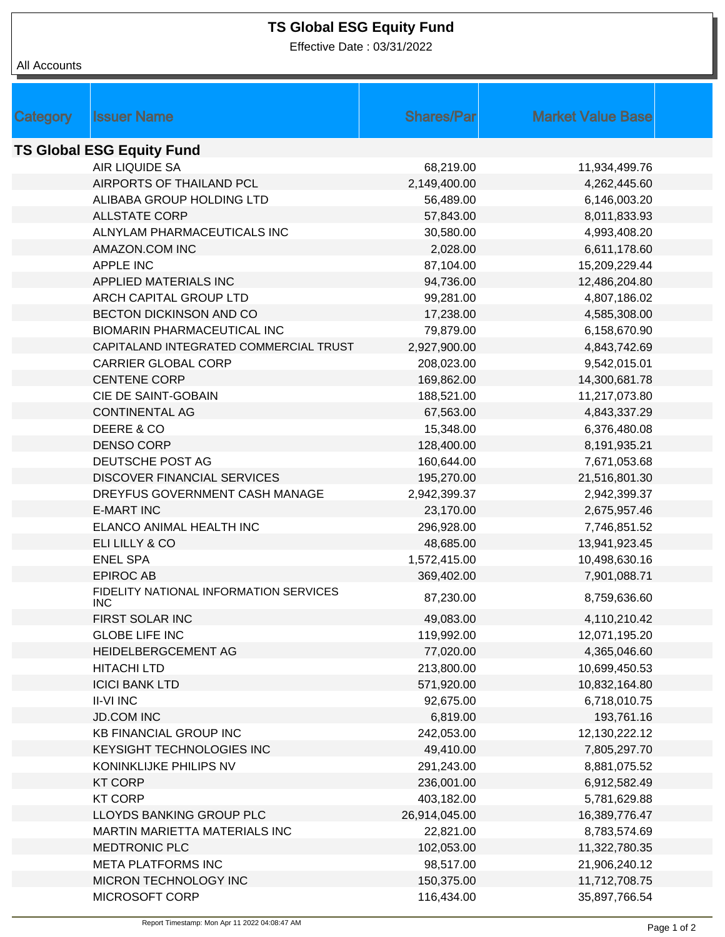## **TS Global ESG Equity Fund**

Effective Date : 03/31/2022

## All Accounts

| Category                         | <b>Issuer Name</b>                                   | <b>Shares/Parl</b> | <b>Market Value Base</b> |  |  |  |
|----------------------------------|------------------------------------------------------|--------------------|--------------------------|--|--|--|
| <b>TS Global ESG Equity Fund</b> |                                                      |                    |                          |  |  |  |
|                                  | <b>AIR LIQUIDE SA</b>                                | 68,219.00          | 11,934,499.76            |  |  |  |
|                                  | AIRPORTS OF THAILAND PCL                             | 2,149,400.00       | 4,262,445.60             |  |  |  |
|                                  | ALIBABA GROUP HOLDING LTD                            | 56,489.00          | 6,146,003.20             |  |  |  |
|                                  | <b>ALLSTATE CORP</b>                                 | 57,843.00          | 8,011,833.93             |  |  |  |
|                                  | ALNYLAM PHARMACEUTICALS INC                          | 30,580.00          | 4,993,408.20             |  |  |  |
|                                  | AMAZON.COM INC                                       | 2,028.00           | 6,611,178.60             |  |  |  |
|                                  | <b>APPLE INC</b>                                     | 87,104.00          | 15,209,229.44            |  |  |  |
|                                  | <b>APPLIED MATERIALS INC</b>                         | 94,736.00          | 12,486,204.80            |  |  |  |
|                                  | ARCH CAPITAL GROUP LTD                               | 99,281.00          | 4,807,186.02             |  |  |  |
|                                  | BECTON DICKINSON AND CO                              | 17,238.00          | 4,585,308.00             |  |  |  |
|                                  | <b>BIOMARIN PHARMACEUTICAL INC</b>                   | 79,879.00          | 6,158,670.90             |  |  |  |
|                                  | CAPITALAND INTEGRATED COMMERCIAL TRUST               | 2,927,900.00       | 4,843,742.69             |  |  |  |
|                                  | <b>CARRIER GLOBAL CORP</b>                           | 208,023.00         | 9,542,015.01             |  |  |  |
|                                  | <b>CENTENE CORP</b>                                  | 169,862.00         | 14,300,681.78            |  |  |  |
|                                  | CIE DE SAINT-GOBAIN                                  | 188,521.00         | 11,217,073.80            |  |  |  |
|                                  | <b>CONTINENTAL AG</b>                                | 67,563.00          | 4,843,337.29             |  |  |  |
|                                  | DEERE & CO                                           | 15,348.00          | 6,376,480.08             |  |  |  |
|                                  | <b>DENSO CORP</b>                                    | 128,400.00         | 8,191,935.21             |  |  |  |
|                                  | DEUTSCHE POST AG                                     | 160,644.00         | 7,671,053.68             |  |  |  |
|                                  | <b>DISCOVER FINANCIAL SERVICES</b>                   | 195,270.00         | 21,516,801.30            |  |  |  |
|                                  | DREYFUS GOVERNMENT CASH MANAGE                       | 2,942,399.37       | 2,942,399.37             |  |  |  |
|                                  | <b>E-MART INC</b>                                    | 23,170.00          | 2,675,957.46             |  |  |  |
|                                  | ELANCO ANIMAL HEALTH INC                             | 296,928.00         | 7,746,851.52             |  |  |  |
|                                  | ELI LILLY & CO                                       | 48,685.00          | 13,941,923.45            |  |  |  |
|                                  | <b>ENEL SPA</b>                                      | 1,572,415.00       | 10,498,630.16            |  |  |  |
|                                  | <b>EPIROC AB</b>                                     | 369,402.00         | 7,901,088.71             |  |  |  |
|                                  | FIDELITY NATIONAL INFORMATION SERVICES<br><b>INC</b> | 87,230.00          | 8,759,636.60             |  |  |  |
|                                  | FIRST SOLAR INC                                      | 49,083.00          | 4,110,210.42             |  |  |  |
|                                  | <b>GLOBE LIFE INC</b>                                | 119,992.00         | 12,071,195.20            |  |  |  |
|                                  | HEIDELBERGCEMENT AG                                  | 77,020.00          | 4,365,046.60             |  |  |  |
|                                  | <b>HITACHI LTD</b>                                   | 213,800.00         | 10,699,450.53            |  |  |  |
|                                  | <b>ICICI BANK LTD</b>                                | 571,920.00         | 10,832,164.80            |  |  |  |
|                                  | <b>II-VI INC</b>                                     | 92,675.00          | 6,718,010.75             |  |  |  |
|                                  | <b>JD.COM INC</b>                                    | 6,819.00           | 193,761.16               |  |  |  |
|                                  | <b>KB FINANCIAL GROUP INC</b>                        | 242,053.00         | 12,130,222.12            |  |  |  |
|                                  | KEYSIGHT TECHNOLOGIES INC                            | 49,410.00          | 7,805,297.70             |  |  |  |
|                                  | KONINKLIJKE PHILIPS NV                               | 291,243.00         | 8,881,075.52             |  |  |  |
|                                  | <b>KT CORP</b>                                       | 236,001.00         | 6,912,582.49             |  |  |  |
|                                  | <b>KT CORP</b>                                       | 403,182.00         | 5,781,629.88             |  |  |  |
|                                  | LLOYDS BANKING GROUP PLC                             | 26,914,045.00      | 16,389,776.47            |  |  |  |
|                                  | MARTIN MARIETTA MATERIALS INC                        | 22,821.00          | 8,783,574.69             |  |  |  |
|                                  | MEDTRONIC PLC                                        | 102,053.00         | 11,322,780.35            |  |  |  |
|                                  | <b>META PLATFORMS INC</b>                            | 98,517.00          | 21,906,240.12            |  |  |  |
|                                  | MICRON TECHNOLOGY INC                                | 150,375.00         | 11,712,708.75            |  |  |  |
|                                  | MICROSOFT CORP                                       | 116,434.00         | 35,897,766.54            |  |  |  |